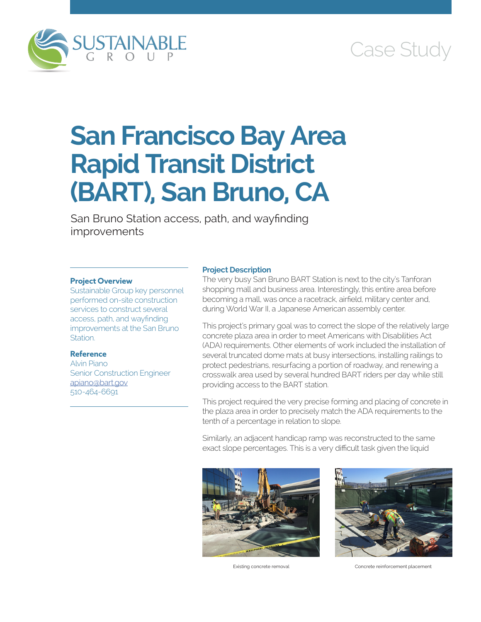

# Case Study

# **San Francisco Bay Area Rapid Transit District (BART), San Bruno, CA**

San Bruno Station access, path, and wayfinding improvements

# **Project Overview**

Sustainable Group key personnel performed on-site construction services to construct several access, path, and wayfinding improvements at the San Bruno Station.

# **Reference**

Alvin Piano Senior Construction Engineer [apiano@bart.gov](mailto:apiano@bart.gov) 510-464-6691

### **Project Description**

The very busy San Bruno BART Station is next to the city's Tanforan shopping mall and business area. Interestingly, this entire area before becoming a mall, was once a racetrack, airfield, military center and, during World War II, a Japanese American assembly center.

This project's primary goal was to correct the slope of the relatively large concrete plaza area in order to meet Americans with Disabilities Act (ADA) requirements. Other elements of work included the installation of several truncated dome mats at busy intersections, installing railings to protect pedestrians, resurfacing a portion of roadway, and renewing a crosswalk area used by several hundred BART riders per day while still providing access to the BART station.

This project required the very precise forming and placing of concrete in the plaza area in order to precisely match the ADA requirements to the tenth of a percentage in relation to slope.

Similarly, an adjacent handicap ramp was reconstructed to the same exact slope percentages. This is a very difficult task given the liquid





Existing concrete removal Concrete reinforcement placement